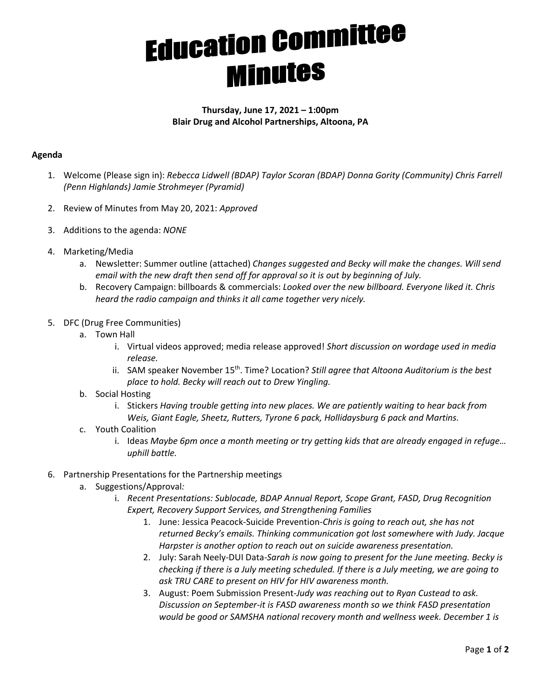## **Education Committee**<br>**Minutes**

## **Thursday, June 17, 2021 – 1:00pm Blair Drug and Alcohol Partnerships, Altoona, PA**

## **Agenda**

- 1. Welcome (Please sign in): *Rebecca Lidwell (BDAP) Taylor Scoran (BDAP) Donna Gority (Community) Chris Farrell (Penn Highlands) Jamie Strohmeyer (Pyramid)*
- 2. Review of Minutes from May 20, 2021: *Approved*
- 3. Additions to the agenda: *NONE*
- 4. Marketing/Media
	- a. Newsletter: Summer outline (attached) *Changes suggested and Becky will make the changes. Will send email with the new draft then send off for approval so it is out by beginning of July.*
	- b. Recovery Campaign: billboards & commercials: *Looked over the new billboard. Everyone liked it. Chris heard the radio campaign and thinks it all came together very nicely.*
- 5. DFC (Drug Free Communities)
	- a. Town Hall
		- i. Virtual videos approved; media release approved! *Short discussion on wordage used in media release.*
		- ii. SAM speaker November 15th. Time? Location? *Still agree that Altoona Auditorium is the best place to hold. Becky will reach out to Drew Yingling.*
	- b. Social Hosting
		- i. Stickers *Having trouble getting into new places. We are patiently waiting to hear back from Weis, Giant Eagle, Sheetz, Rutters, Tyrone 6 pack, Hollidaysburg 6 pack and Martins.*
	- c. Youth Coalition
		- i. Ideas *Maybe 6pm once a month meeting or try getting kids that are already engaged in refuge… uphill battle.*
- 6. Partnership Presentations for the Partnership meetings
	- a. Suggestions/Approval*:*
		- i. *Recent Presentations: Sublocade, BDAP Annual Report, Scope Grant, FASD, Drug Recognition Expert, Recovery Support Services, and Strengthening Families* 
			- 1. June: Jessica Peacock-Suicide Prevention*-Chris is going to reach out, she has not returned Becky's emails. Thinking communication got lost somewhere with Judy. Jacque Harpster is another option to reach out on suicide awareness presentation.*
			- 2. July: Sarah Neely-DUI Data*-Sarah is now going to present for the June meeting. Becky is checking if there is a July meeting scheduled. If there is a July meeting, we are going to ask TRU CARE to present on HIV for HIV awareness month.*
			- 3. August: Poem Submission Present*-Judy was reaching out to Ryan Custead to ask. Discussion on September-it is FASD awareness month so we think FASD presentation would be good or SAMSHA national recovery month and wellness week. December 1 is*